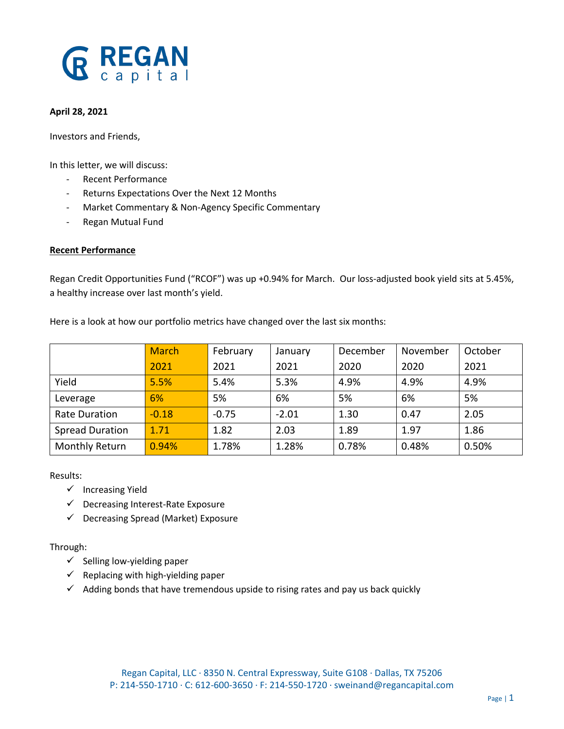# **GREGAN**

#### **April 28, 2021**

Investors and Friends,

In this letter, we will discuss:

- Recent Performance
- Returns Expectations Over the Next 12 Months
- Market Commentary & Non-Agency Specific Commentary
- Regan Mutual Fund

#### **Recent Performance**

Regan Credit Opportunities Fund ("RCOF") was up +0.94% for March. Our loss-adjusted book yield sits at 5.45%, a healthy increase over last month's yield.

|                        | <b>March</b> | February | January | December | November | October |
|------------------------|--------------|----------|---------|----------|----------|---------|
|                        | 2021         | 2021     | 2021    | 2020     | 2020     | 2021    |
| Yield                  | 5.5%         | 5.4%     | 5.3%    | 4.9%     | 4.9%     | 4.9%    |
| Leverage               | 6%           | 5%       | 6%      | 5%       | 6%       | 5%      |
| <b>Rate Duration</b>   | $-0.18$      | $-0.75$  | $-2.01$ | 1.30     | 0.47     | 2.05    |
| <b>Spread Duration</b> | 1.71         | 1.82     | 2.03    | 1.89     | 1.97     | 1.86    |
| Monthly Return         | 0.94%        | 1.78%    | 1.28%   | 0.78%    | 0.48%    | 0.50%   |

Here is a look at how our portfolio metrics have changed over the last six months:

Results:

- ✓ Increasing Yield
- ✓ Decreasing Interest-Rate Exposure
- ✓ Decreasing Spread (Market) Exposure

Through:

- $\checkmark$  Selling low-yielding paper
- $\checkmark$  Replacing with high-yielding paper
- $\checkmark$  Adding bonds that have tremendous upside to rising rates and pay us back quickly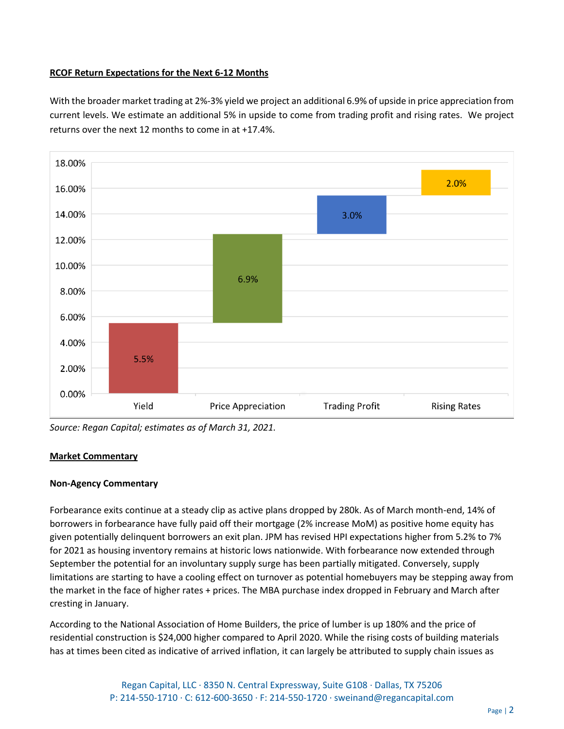#### **RCOF Return Expectations for the Next 6-12 Months**

With the broader market trading at 2%-3% yield we project an additional 6.9% of upside in price appreciation from current levels. We estimate an additional 5% in upside to come from trading profit and rising rates. We project returns over the next 12 months to come in at +17.4%.



*Source: Regan Capital; estimates as of March 31, 2021.*

#### **Market Commentary**

### **Non-Agency Commentary**

Forbearance exits continue at a steady clip as active plans dropped by 280k. As of March month-end, 14% of borrowers in forbearance have fully paid off their mortgage (2% increase MoM) as positive home equity has given potentially delinquent borrowers an exit plan. JPM has revised HPI expectations higher from 5.2% to 7% for 2021 as housing inventory remains at historic lows nationwide. With forbearance now extended through September the potential for an involuntary supply surge has been partially mitigated. Conversely, supply limitations are starting to have a cooling effect on turnover as potential homebuyers may be stepping away from the market in the face of higher rates + prices. The MBA purchase index dropped in February and March after cresting in January.

According to the National Association of Home Builders, the price of lumber is up 180% and the price of residential construction is \$24,000 higher compared to April 2020. While the rising costs of building materials has at times been cited as indicative of arrived inflation, it can largely be attributed to supply chain issues as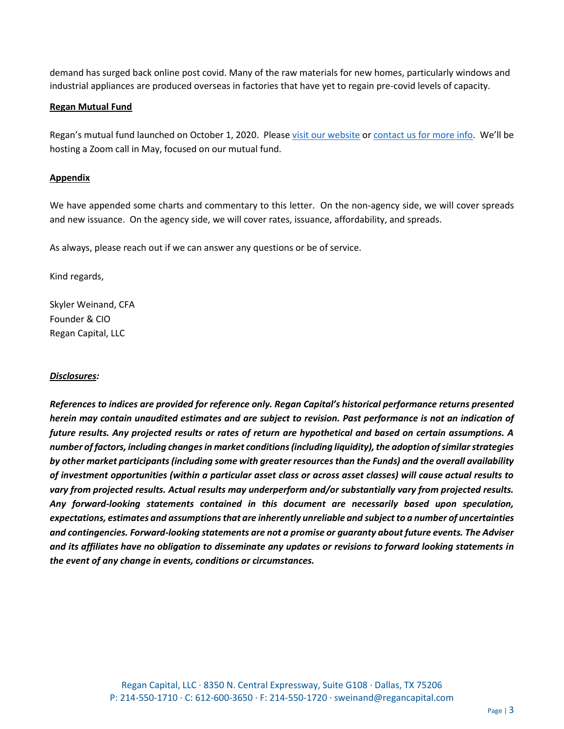demand has surged back online post covid. Many of the raw materials for new homes, particularly windows and industrial appliances are produced overseas in factories that have yet to regain pre-covid levels of capacity.

#### **Regan Mutual Fund**

Regan's mutual fund launched on October 1, 2020. Please [visit our website](https://www.regancapital.com/mutual-funds/how-to-invest/) o[r contact us for more info.](mailto:ir@regancapital.com?subject=Regan%20Mutual%20Fund%20-%20Interested%20Investor) We'll be hosting a Zoom call in May, focused on our mutual fund.

#### **Appendix**

We have appended some charts and commentary to this letter. On the non-agency side, we will cover spreads and new issuance. On the agency side, we will cover rates, issuance, affordability, and spreads.

As always, please reach out if we can answer any questions or be of service.

Kind regards,

Skyler Weinand, CFA Founder & CIO Regan Capital, LLC

#### *Disclosures:*

*References to indices are provided for reference only. Regan Capital's historical performance returns presented herein may contain unaudited estimates and are subject to revision. Past performance is not an indication of future results. Any projected results or rates of return are hypothetical and based on certain assumptions. A number of factors, including changes in market conditions (including liquidity), the adoption of similar strategies by other market participants (including some with greater resources than the Funds) and the overall availability of investment opportunities (within a particular asset class or across asset classes) will cause actual results to vary from projected results. Actual results may underperform and/or substantially vary from projected results. Any forward-looking statements contained in this document are necessarily based upon speculation, expectations, estimates and assumptions that are inherently unreliable and subject to a number of uncertainties and contingencies. Forward-looking statements are not a promise or guaranty about future events. The Adviser and its affiliates have no obligation to disseminate any updates or revisions to forward looking statements in the event of any change in events, conditions or circumstances.*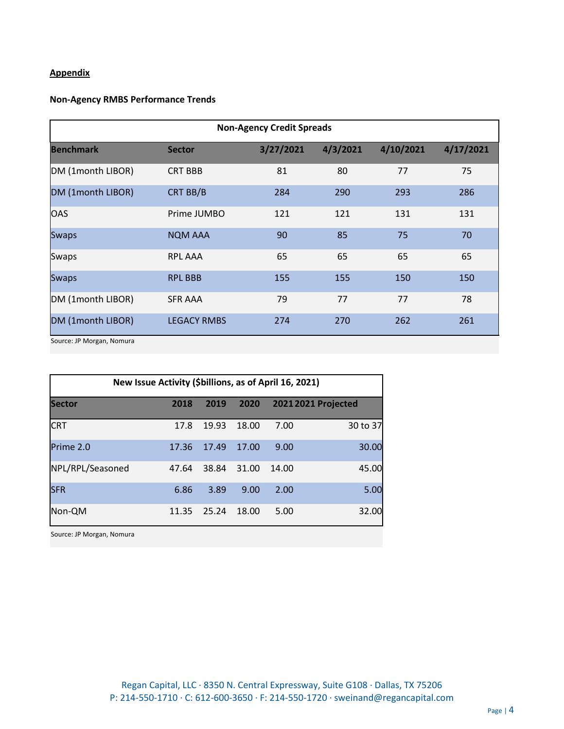# **Appendix**

## **Non-Agency RMBS Performance Trends**

| <b>Non-Agency Credit Spreads</b> |                    |           |          |           |           |  |  |
|----------------------------------|--------------------|-----------|----------|-----------|-----------|--|--|
| <b>Benchmark</b>                 | <b>Sector</b>      | 3/27/2021 | 4/3/2021 | 4/10/2021 | 4/17/2021 |  |  |
| DM (1month LIBOR)                | <b>CRT BBB</b>     | 81        | 80       | 77        | 75        |  |  |
| DM (1month LIBOR)                | CRT BB/B           | 284       | 290      | 293       | 286       |  |  |
| <b>OAS</b>                       | Prime JUMBO        | 121       | 121      | 131       | 131       |  |  |
| <b>Swaps</b>                     | <b>NQM AAA</b>     | 90        | 85       | 75        | 70        |  |  |
| Swaps                            | <b>RPL AAA</b>     | 65        | 65       | 65        | 65        |  |  |
| <b>Swaps</b>                     | <b>RPL BBB</b>     | 155       | 155      | 150       | 150       |  |  |
| DM (1month LIBOR)                | <b>SFR AAA</b>     | 79        | 77       | 77        | 78        |  |  |
| DM (1month LIBOR)                | <b>LEGACY RMBS</b> | 274       | 270      | 262       | 261       |  |  |

Source: JP Morgan, Nomura

| New Issue Activity (\$billions, as of April 16, 2021) |       |       |       |                            |          |  |  |  |
|-------------------------------------------------------|-------|-------|-------|----------------------------|----------|--|--|--|
| <b>Sector</b>                                         | 2018  | 2019  | 2020  | <b>2021 2021 Projected</b> |          |  |  |  |
| <b>CRT</b>                                            | 17.8  | 19.93 | 18.00 | 7.00                       | 30 to 37 |  |  |  |
| Prime 2.0                                             | 17.36 | 17.49 | 17.00 | 9.00                       | 30.00    |  |  |  |
| NPL/RPL/Seasoned                                      | 47.64 | 38.84 | 31.00 | 14.00                      | 45.00    |  |  |  |
| <b>SFR</b>                                            | 6.86  | 3.89  | 9.00  | 2.00                       | 5.00     |  |  |  |
| Non-QM                                                | 11.35 | 25.24 | 18.00 | 5.00                       | 32.00    |  |  |  |

Source: JP Morgan, Nomura